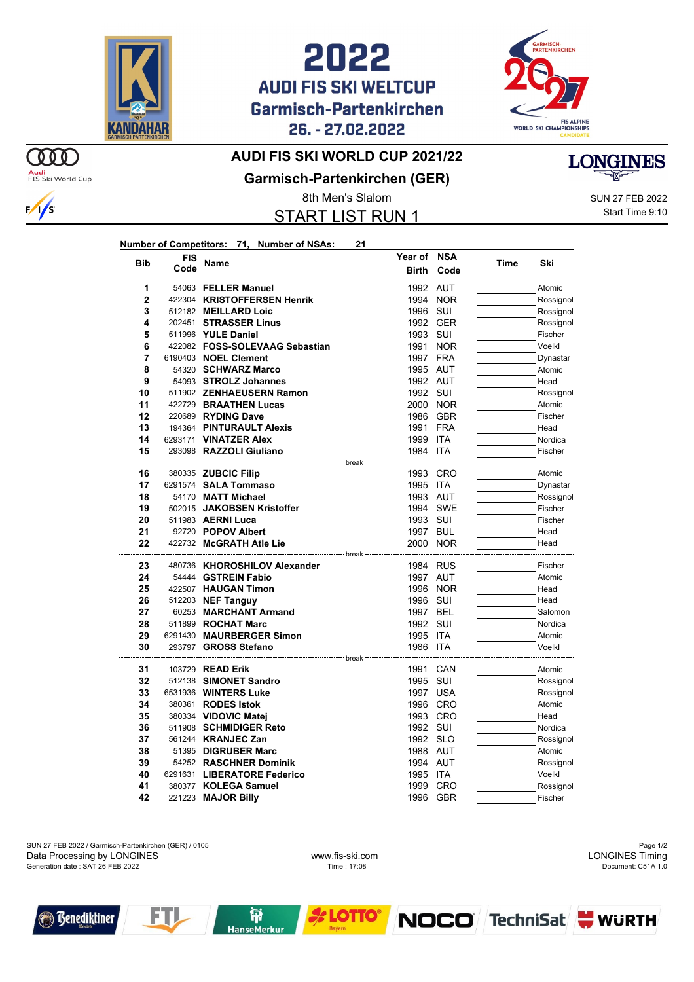





## **AUDI FIS SKI WORLD CUP 2021/22**

**Garmisch-Partenkirchen (GER)**

START LIST RUN 1

8th Men's Slalom SUN 27 FEB 2022 Start Time 9:10

**LONGINES** 

|            |            | Number of Competitors: 71, Number of NSAs: | 21 |              |          |      |           |
|------------|------------|--------------------------------------------|----|--------------|----------|------|-----------|
| <b>Bib</b> | <b>FIS</b> | <b>Name</b>                                |    | Year of NSA  |          |      |           |
|            | Code       |                                            |    | <b>Birth</b> | Code     | Time | Ski       |
| 1          |            | 54063 FELLER Manuel                        |    | 1992 AUT     |          |      | Atomic    |
| 2          |            | 422304 KRISTOFFERSEN Henrik                |    |              | 1994 NOR |      | Rossignol |
| 3          |            | 512182 MEILLARD Loic                       |    | 1996 SUI     |          |      | Rossignol |
| 4          |            | 202451 STRASSER Linus                      |    |              | 1992 GER |      | Rossignol |
| 5          |            | 511996 YULE Daniel                         |    | 1993 SUI     |          |      | Fischer   |
| 6          |            | 422082 FOSS-SOLEVAAG Sebastian             |    |              | 1991 NOR |      | Voelkl    |
| 7          |            | 6190403 NOEL Clement                       |    | 1997 FRA     |          |      | Dynastar  |
| 8          |            | 54320 SCHWARZ Marco                        |    | 1995 AUT     |          |      | Atomic    |
| 9          |            | 54093 STROLZ Johannes                      |    | 1992 AUT     |          |      | Head      |
| 10         |            | 511902 ZENHAEUSERN Ramon                   |    | 1992 SUI     |          |      | Rossignol |
| 11         |            | 422729 BRAATHEN Lucas                      |    |              | 2000 NOR |      | Atomic    |
| 12         |            | 220689 RYDING Dave                         |    |              | 1986 GBR |      | Fischer   |
| 13         |            | 194364 PINTURAULT Alexis                   |    | 1991 FRA     |          |      | Head      |
| 14         |            | 6293171 VINATZER Alex                      |    | 1999 ITA     |          |      | Nordica   |
| 15         |            | 293098 RAZZOLI Giuliano                    |    | 1984 ITA     |          |      | Fischer   |
|            |            |                                            |    |              |          |      |           |
| 16         |            | 380335 ZUBCIC Filip                        |    |              | 1993 CRO |      | Atomic    |
| 17         |            | 6291574 SALA Tommaso                       |    | 1995 ITA     |          |      | Dynastar  |
| 18         |            | 54170 MATT Michael                         |    | 1993 AUT     |          |      | Rossignol |
| 19         |            | 502015 JAKOBSEN Kristoffer                 |    |              | 1994 SWE |      | Fischer   |
| 20         |            | 511983 AERNI Luca                          |    | 1993 SUI     |          |      | Fischer   |
| 21         |            | 92720 POPOV Albert                         |    | 1997 BUL     |          |      | Head      |
| 22         |            | 422732 McGRATH Atle Lie                    |    | 2000 NOR     |          |      | Head      |
| 23         |            | 480736 KHOROSHILOV Alexander               |    | 1984 RUS     |          |      | Fischer   |
| 24         |            | 54444 GSTREIN Fabio                        |    | 1997 AUT     |          |      | Atomic    |
| 25         |            | 422507 HAUGAN Timon                        |    |              | 1996 NOR |      | Head      |
| 26         |            | 512203 NEF Tanguy                          |    | 1996 SUI     |          |      | Head      |
| 27         |            | 60253 MARCHANT Armand                      |    | 1997 BEL     |          |      | Salomon   |
| 28         |            | 511899 ROCHAT Marc                         |    | 1992 SUI     |          |      | Nordica   |
| 29         |            | 6291430 MAURBERGER Simon                   |    | 1995 ITA     |          |      | Atomic    |
| 30         |            | 293797 GROSS Stefano                       |    | 1986 ITA     |          |      | Voelkl    |
|            |            |                                            |    |              |          |      |           |
| 31         |            | 103729 READ Erik                           |    | 1991 CAN     |          |      | Atomic    |
| 32         |            | 512138 SIMONET Sandro                      |    | 1995 SUI     |          |      | Rossignol |
| 33         |            | 6531936 WINTERS Luke                       |    |              | 1997 USA |      | Rossignol |
| 34         |            | 380361 RODES Istok                         |    |              | 1996 CRO |      | Atomic    |
| 35         |            | 380334 VIDOVIC Matej                       |    |              | 1993 CRO |      | Head      |
| 36         |            | 511908 SCHMIDIGER Reto                     |    | 1992 SUI     |          |      | Nordica   |
| 37         |            | 561244 KRANJEC Zan                         |    | 1992 SLO     |          |      | Rossignol |
| 38         |            | 51395 DIGRUBER Marc                        |    | 1988 AUT     |          |      | Atomic    |
| 39         |            | 54252 RASCHNER Dominik                     |    | 1994 AUT     |          |      | Rossignol |
| 40         |            | 6291631 LIBERATORE Federico                |    | 1995 ITA     |          |      | Voelkl    |
| 41         |            | 380377 KOLEGA Samuel                       |    |              | 1999 CRO |      | Rossignol |
| 42         |            | 221223 MAJOR Billy                         |    |              | 1996 GBR |      | Fischer   |







 $\omega$ 



 $\frac{1}{s}$